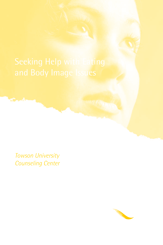*Towson University Counseling Center*

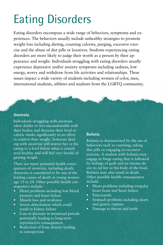# Eating Disorders

Eating disorders encompass a wide range of behaviors, symptoms and experiences. The behaviors usually include unhealthy strategies to promote weight loss including dieting, counting calories, purging, excessive exercise and the abuse of diet pills or laxatives. Students experiencing eating disorders are more likely to judge their worth as a person by their appearance and weight. Individuals struggling with eating disorders usually experience depressive and/or anxiety symptoms including sadness, low energy, worry and withdraw from life activities and relationships. These issues impact a wide variety of students including women of color, men, international students, athletes and students from the LGBTQ community.

#### **Anorexia**

Individuals struggling with anorexia often dislike or feel uncomfortable with their bodies and decrease their food or caloric intake significantly in an effort to control their weight. Someone dealing with anorexia will restrict her or his eating to a level below what is considered healthy and will feel very fearful of gaining weight.

There are many potential health consequences of anorexia, including death. Anorexia is considered to be one of the leading causes of death in young women age 15 to 24. Other possible health consequences include:

- Heart problems including low blood pressure and heart failure
- Muscle loss and weakness
- Severe dehydration which could result in kidney failure
- Loss or decrease in menstrual periods potentially leading to long-term reproductive consequences
- Reduction of bone density leading to osteoporosis

#### **Bulimia**

Bulimia is characterized by the use of behaviors such as vomiting, taking diet pills or engaging in excessive exercise. A student with bulimia may engage in binge eating that is followed by feelings of guilt and an intense desire to rid her or his body of the food. Bulimia may also result in death. Other possible health consequences include:

- Heart problems including irregular heart beats and heart failure
- **Pancreatitis**
- Stomach problems including ulcers and gastric rupture
- Damage to throat and teeth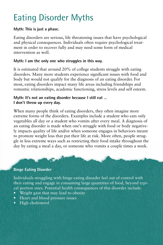## Eating Disorder Myths

#### **Myth: This is just a phase.**

Eating disorders are serious, life threatening issues that have psychological and physical consequences. Individuals often require psychological treatment in order to recover fully and may need some form of medical intervention as well.

#### **Myth: I am the only one who struggles in this way.**

It is estimated that around 20% of college students struggle with eating disorders. Many more students experience significant issues with food and body but would not qualify for the diagnosis of an eating disorder. For most, eating disorders impact many life areas including friendships and romantic relationships, academic functioning, stress levels and self esteem.

#### **Myth: It's not an eating disorder because I still eat … I don't throw up every day.**

When many people think of eating disorders, they often imagine more extreme forms of the disorders. Examples include a student who eats only vegetables all day or a student who vomits after every meal. A diagnosis of an eating disorder is made when one's struggle with food or body negatively impacts quality of life and/or when someone engages in behaviors meant to promote weight loss that put their life at risk. More often, people struggle in less extreme ways such as restricting their food intake throughout the day by eating a meal a day, or someone who vomits a couple times a week.

#### **Binge Eating Disorder**

Individuals struggling with binge eating disorder feel out of control with their eating and engage in consuming large quantities of food, beyond typical portion sizes. Potential health consequences of this disorder include:

- Weight gain that may lead to obesity
- Heart and blood pressure issues
- High cholesterol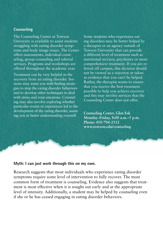#### **Counseling**

The Counseling Center at Towson University is available to assist students struggling with eating disorder symptoms and body image issues. The Center offers assessments, individual counseling, group counseling and referral services. Programs and workshops are offered throughout the academic year.

Treatment can be very helpful in the recovery from an eating disorder. Sessions may assist you with finding strategies to stop the eating disorder behaviors and to develop other techniques to deal with stress and your emotions. Counseling may also involve exploring whether particular events or experiences led to the development of the eating disorder, assisting you in better understanding yourself.

Some students who experience eating disorders may be better helped by a therapist or an agency outside of Towson University that can provide a different level of treatment such as nutritional services, psychiatry or more comprehensive treatment. If you are referred off campus, this decision should not be viewed as a rejection or taken as evidence that you can't be helped. Rather, the therapist wants to ensure that you receive the best treatment possible to help you achieve recovery and this may involve services that the Counseling Center does not offer.

**Counseling Center, Glen Esk Monday–Friday, 8:00 a.m.–5 p.m. Phone: 410**-**704**-**2512 www.towson.edu/counseling**

#### **Myth: I can just work through this on my own.**

Research suggests that most individuals who experience eating disorder symptoms require some level of intervention to fully recover. The most common form of treatment is counseling. Evidence also suggests that treatment is most effective when it is sought out early and at the appropriate level of intensity. Additionally, a student may be helped by counseling even if she or he has ceased engaging in eating disorder behaviors.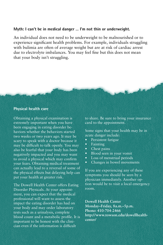#### **Myth: I can't be in medical danger … I'm not thin or underweight.**

An individual does not need to be underweight to be malnourished or to experience significant health problems. For example, individuals struggling with bulimia are often of average weight but are at risk of cardiac arrest due to electrolyte imbalances. You may feel fine but this does not mean that your body isn't struggling.

#### **Physical health care**

Obtaining a physical examination is extremely important when you have been engaging in eating disorder behaviors whether the behaviors started two weeks or two years ago. It may be scary to speak with a doctor because it may be difficult to talk openly. You may also be fearful that your body has been negatively impacted and you may want to avoid a physical which may confirm your fears. Obtaining medical treatment can actually lead to a reversal of some of the physical effects but delaying help can put your health at greater risk.

The Dowell Health Center offers Eating Disorder Physicals. At your appointment, you can expect that the medical professional will want to assess the impact the eating disorder has had on your body and may order laboratory tests such as a urinalysis, complete blood count and a metabolic profile. It is important to be honest with the clinician even if the information is difficult

to share. Be sure to bring your insurance card to the appointment.

Some signs that your health may be in acute danger include:

- Persistent fatigue
- Fainting
- Chest pains
- Blood seen in your vomit
- • Loss of menstrual periods
- Changes in bowel movements

If you are experiencing any of these symptoms you should be seen by a physician immediately. Another option would be to visit a local emergency room.

**Dowell Health Center Monday–Friday, 8a.m.–5p.m. Phone: 410-704-2466 http://www.towson.edu/dowellhealthcenter/**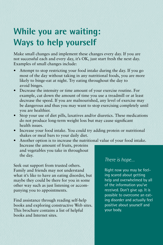### **While you are waiting: Ways to help yourself**

Make small changes and implement these changes every day. If you are not successful each and every day, it's OK, just start fresh the next day. Examples of small changes include:

- Attempt to stop restricting your food intake during the day. If you go most of the day without taking in any nutritional foods, you are more likely to binge-eat at night. Try eating throughout the day to avoid binges.
- Decrease the intensity or time amount of your exercise routine. For example, cut down the amount of time you use a treadmill or at least decrease the speed. If you are malnourished, any level of exercise may be dangerous and thus you may want to stop exercising completely until you are healthier.
- Stop your use of diet pills, laxatives and/or diuretics. These medications do not produce long-term weight loss but may cause significant health issues.
- Increase your food intake. You could try adding protein or nutritional shakes or meal bars to your daily diet.
- Another option is to increase the nutritional value of your food intake. Increase the amount of fruits, proteins and vegetables you take in throughout the day.

Seek out support from trusted others. Family and friends may not understand what it's like to have an eating disorder, but maybe they could be there for you in some other way such as just listening or accompanying you to appointments.

Find assistance through reading self-help books and exploring constructive Web sites. This brochure contains a list of helpful books and Internet sites.

### *There is hope…*

Right now you may be feeling scared about getting help and overwhelmed by all of the information you've received. Don't give up. It is possible to overcome an eating disorder and actually feel positive about yourself and your body.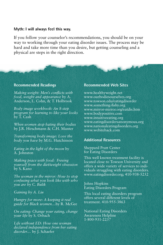#### **Myth: I will always feel this way.**

If you follow your counselor's recommendations, you should be on your way to working through your eating disorder issues. The process may be hard and take more time than you desire, but getting counseling and a physical are steps in the right direction.

#### **Recommended Readings**

*Making weight: Men's conflicts with food, weight and appearance* by A. Anderson, L. Cohn, & T. Holbrook

*Body image workbook: An 8-step program for learning to like your looks* by T. Cash

*When women stop hating their bodies* by J.R. Hirschmann & C.H. Munter

*Transforming body image: Love the body you have* by M.G. Hutchinson

*Eating in the light of the moon* by A. Johnston

*Making peace with food: Freeing yourself from the diet/weight obsession* by S. Kano

*The woman in the mirror: How to stop confusing what you look like with who you are by C. Bulik* 

*Gaining by A. Liu*

*Hungry for more: A keeping it real guide for Black women…*by R. McGee

*On eating: Change your eating, change your life* by S. Orbach

*Life without ED: How one woman declared independence from her eating disorder…* by J. Schaefer

#### **Recommended Web Sites**

www.healthyweight.net www.ourbodiesourselves.org www.towson.edu/eatingdisorder www.something-fishy.org www.mirror-mirror.org/eatdis.htm www.bodypositive.com www.intuitiveeating.org www.eatingdisordersanonymous.org www.nationaleatingdisorders.org www.webiteback.com

#### **Additional Resources**

#### Sheppard Pratt Center for Eating Disorders

This well known treatment facility is located close to Towson University and offers a wide variety of services to individuals struggling with eating disorders. www.eatingdisorder.org; 410-938-5252

Johns Hopkins Eating Disorders Program

This local eating disorders program offers several different levels of treatment. 410-955-3863

National Eating Disorders Awareness Helpline 1-800-931-2237